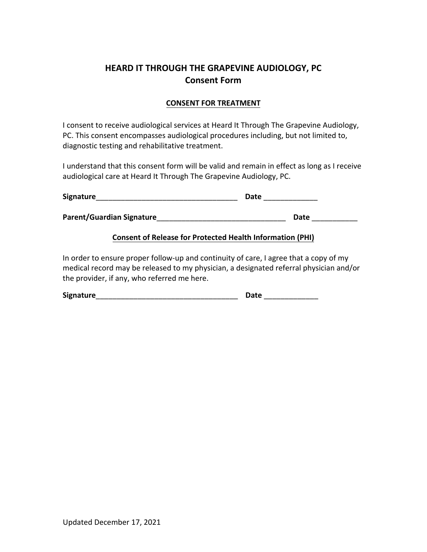# **HEARD IT THROUGH THE GRAPEVINE AUDIOLOGY, PC Consent Form**

### **CONSENT FOR TREATMENT**

I consent to receive audiological services at Heard It Through The Grapevine Audiology, PC. This consent encompasses audiological procedures including, but not limited to, diagnostic testing and rehabilitative treatment.

I understand that this consent form will be valid and remain in effect as long as I receive audiological care at Heard It Through The Grapevine Audiology, PC.

| Signature                        | Date |
|----------------------------------|------|
| <b>Parent/Guardian Signature</b> | Date |

#### **Consent of Release for Protected Health Information (PHI)**

In order to ensure proper follow-up and continuity of care, I agree that a copy of my medical record may be released to my physician, a designated referral physician and/or the provider, if any, who referred me here.

| <b>Signature</b> | <b>Date</b> |
|------------------|-------------|
|------------------|-------------|